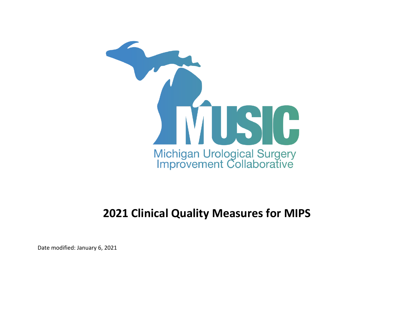

## **2021 Clinical Quality Measures for MIPS**

Date modified: January 6, 2021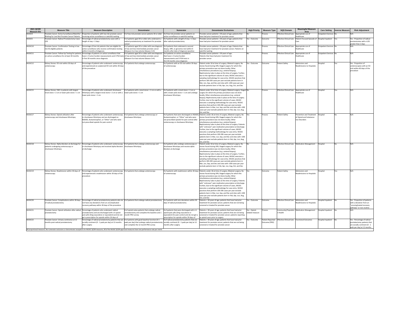| <b>2021 QCDR</b><br><b>Measure IDs</b> | <b>Measure Title</b>                                                                                           | <b>Measure Description</b>                                                                                                                                                                                                                                             | <b>Denominator</b>                                                                                                                                                                                      | <b>Numerator</b>                                                                                                                                                                       | <b>Denominator Exclusions</b>                                                                                                                                                                                                                                                                                                                                                                                                                                                                                                                                                                                                                                                                                                 | <b>High Priority</b>             | <b>Measure Type</b> | <b>NQS Domain</b>                            | <b>Meaningful Measure</b><br><b>Area</b>                                               | <b>Care Setting</b><br>Inverse Measure | <b>Risk Adjustment</b>                                                                                                               |
|----------------------------------------|----------------------------------------------------------------------------------------------------------------|------------------------------------------------------------------------------------------------------------------------------------------------------------------------------------------------------------------------------------------------------------------------|---------------------------------------------------------------------------------------------------------------------------------------------------------------------------------------------------------|----------------------------------------------------------------------------------------------------------------------------------------------------------------------------------------|-------------------------------------------------------------------------------------------------------------------------------------------------------------------------------------------------------------------------------------------------------------------------------------------------------------------------------------------------------------------------------------------------------------------------------------------------------------------------------------------------------------------------------------------------------------------------------------------------------------------------------------------------------------------------------------------------------------------------------|----------------------------------|---------------------|----------------------------------------------|----------------------------------------------------------------------------------------|----------------------------------------|--------------------------------------------------------------------------------------------------------------------------------------|
| MUSIC4                                 | Prostate Cancer: Active Surveillance/Watchful<br>Waiting for Low Risk Prostate Cancer Patients                 | Proportion of patients with low-risk prostate cancer<br>receiving active surveillance or watchful waiting                                                                                                                                                              | of low-risk prostate cancer patients 30 or older  # of low-risk prostate cancer patients on                                                                                                             | active surveillance or watchful waiting                                                                                                                                                | Prostate cancer patients < 30 years of age; patients that<br>have had prior treatment for prostate cancer                                                                                                                                                                                                                                                                                                                                                                                                                                                                                                                                                                                                                     |                                  | Process             | Effective Clinical Care   Appropriate use of | lealthcare                                                                             | Outpatient Services No                 | N/A                                                                                                                                  |
| MUSIC5                                 | Prostate Cancer: Radical Prostatectomy Cases                                                                   | Percentage of radical prostatectomy cases with a<br>length of stay $> 2$ days                                                                                                                                                                                          | # of patients aged 30 or older who underwent a<br>radical prostatectomy as treatment for prostate<br>cancer                                                                                             | # of patients with a length of stay $>$ 2 days<br>after radical prostatectomy                                                                                                          | Prostate cancer patients < 30 years of age; patients that<br>have had prior treatment for prostate cancer                                                                                                                                                                                                                                                                                                                                                                                                                                                                                                                                                                                                                     | Yes - Outcome                    | Outcome             |                                              | Effective Clinical Care   Patient-Focused Episode of   Hospital Inpatient   Yes        |                                        | Yes - Proportion of radical<br>prostactomies with a LOS<br>greater than 2 days                                                       |
| MUSIC10                                | Prostate Cancer: Confirmation Testing in low<br>risk AS eligible patients                                      | ercentage of low risk patients that are eligible for<br>active surveillance who receive confirmation testing<br>within 6 months of diagnosis                                                                                                                           | $\frac{1}{2}$ of patients aged 30 or older with new diagnosis $\frac{1}{2}$ of patients that underwent a second<br>of low and low-intermediate prostate cancer<br>(Gleason 6 or low volume Gleason 3+4) | biopsy, MRI, or genomics test within 6<br>months after date of diagnosis (positive                                                                                                     | Prostate cancer patients < 30 years of age; Patients that<br>have had prior treatment for prostate cancer; Patients on<br>watchful waiting                                                                                                                                                                                                                                                                                                                                                                                                                                                                                                                                                                                    |                                  | Process             | Effective Clinical Care Appropriate use of   | Healthcare                                                                             | Outpatient Services No                 | N/A                                                                                                                                  |
| MUSIC11                                | on active surveillance for at least 30 months                                                                  | Prostate Cancer: Follow-Up Testing for patients Percentage of patients on active surveillance that<br>$ $ have $\geq$ 2 tumor burden reassessments and 3 PSA tests<br>in first 30 months since diagnosis                                                               | # of patients aged 30 or older with new diagnosis<br>of low and low-intermediate prostate cancer<br>(Gleason 6 or low volume Gleason 3+4)                                                               | $\#$ of patients on active surveillance<br>that have $\geq 2$ tumor burden<br>reassessments and 3 PSA tests in<br>first 30 months since diagnosis                                      | Prostate cancer patients < 30 years of age;<br>Patients that have had prior treatment for<br>prostate cancer                                                                                                                                                                                                                                                                                                                                                                                                                                                                                                                                                                                                                  |                                  | Process             | Effective Clinical Care   Appropriate use of | Healthcare                                                                             | Outpatient Services No                 | IN/A                                                                                                                                 |
| MUSIC12                                | Kidney Stones: ED visit within 30 days of<br>ureteroscopy                                                      | Percentage of patients who underwent ureteroscopy $ $ # of patients that undergo ureteroscopy<br>and experienced an unplanned ED visit within 30 days<br>of the procedure                                                                                              |                                                                                                                                                                                                         | # of patients with an ED visit within 30 days<br>of ureteroscopy                                                                                                                       | Patient under 18 at time of surgery; Bilateral surgery; No<br>stones found during URS; Staged surgery for which the<br>primary procedure was not done locally; Other<br>simultaneous procedures (e.g. ureteral biopsy);<br>Nephrostomy tube in place at the time of surgery. Further,<br>due to the significant volume of cases, MUSIC executes a<br>sampling methodology for case entry. MUSIC practices that<br>perform 100-200 cases per year exclude patients born in<br>Mar, Jun, Sep, and Dec and sites with >200 cases per year<br>exclude patients born in Feb, Apr, Jun, Aug, Oct, and Dec                                                                                                                           | 'es - Outcome                    | Outcome             | Patient Safety                               | Admissions and<br><b>Readmissions to Hospitals</b>                                     | Hospital                               | Yes - Proportion of<br>ureteroscopies with an ED<br>visit within 60 days of the<br>procedure                                         |
| MUSIC15                                | Kidney Stones: SWL in patients with largest<br>renal stone > 2 cm or lower pole stone > 1 cm                   | Percentage of patients who underwent shockwave<br>ithotripsy with a largest renal stone $> 2$ cm or with a llower pole stone $> 1$ cm<br>lower pole stone > 1 cm                                                                                                       | # of patients with a renal stone > 2 cm or with a                                                                                                                                                       | # of patients with a renal stone $> 2$ cm or<br>with a lower pole stone $>$ 1 cm and undergo<br>shockwave lithotripsy                                                                  | Patient under 18 at time of surgery; Bilateral surgery; Staged No<br>surgery for which the primary procedure was not done<br>locally; Other simultaneous procedures (e.g. ureteral<br>biopsy); Nephrostomy tube in place at the time of surgery.<br>Further, due to the significant volume of cases, MUSIC<br>executes a sampling methodology for case entry. MUSIC<br>practices that perform 100-200 cases per year exclude<br>patients born in Mar, Jun, Sep, and Dec and sites with >200<br>cases per year exclude patients born in Feb, Apr, Jun, Aug,<br>Oct. and Dec                                                                                                                                                    |                                  | Process             | Effective Clinical Care   Appropriate use of | Healthcare                                                                             | Hospital                               | N/A                                                                                                                                  |
| MUSIC17                                | Kidney Stones: Opioid utilization after<br>ureteroscopy and shockwave lithotripsy                              | Percentage of patients who underwent ureteroscopy<br>or shockwave lithotripsy and are discharged on<br>NSAIDS, Acetaminophen, or "Other" and who were<br>not prescribed opioids for pain control                                                                       | # of patients that undergo ureteroscopy or<br>shockwave lithotripsy                                                                                                                                     | Acetaminophen, or "Other" and who were<br>not prescribed opioids for pain control after<br>ureteroscopy or shockwave lithotripsy                                                       | # of patients that were discharged on NSAIDS, Patients under 18 at time of surgery; Bilateral surgery; No<br>stones found during URS; Staged surgery for which the<br>primary procedure was not done locally; Other<br>simultaneous procedures (e.g. ureteral biopsy)<br>Nephrostomy tube in place at the time of surgery; Patients<br>with "unknown" pain medication prescription at discharge.<br>Further, due to the significant volume of cases, MUSIC<br>executes a sampling methodology for case entry. MUSIC<br>practices that perform 100-200 cases per year exclude<br>patients born in Mar, Jun, Sep, and Dec and sites with >200<br>cases per year exclude patients born in Feb, Apr, Jun, Aug,<br>Oct, and Dec    |                                  | Process             | Patient Safety                               | Prevention and Treatment   Hospital<br>of Opioid and Substance<br><b>Use Disorders</b> |                                        | N/A                                                                                                                                  |
| MUSIC18                                | Kidney Stones: Alpha-blockers at discharge for<br>patients undergoing ureteroscopy or<br>shockwave lithotripsy | $\vert$ Percentage of patients who underwent ureteroscopy $\vert$ # of patients that undergo ureteroscopy and<br>or shockwave lithotripsy and received alpha-blockers shockwave lithotripsy<br>at discharge                                                            |                                                                                                                                                                                                         | # of patients who undergo ureteroscopy or<br>shockwave lithotripsy and receive alpha<br>blockers at discharge                                                                          | Patient under 18 at time of surgery; Bilateral surgery; No<br>stones found during URS; Staged surgery for which the<br>primary procedure was not done locally; Other<br>simultaneous procedures (e.g. ureteral biopsy);<br>Nephrostomy tube in place at the time of surgery. Further,<br>due to the significant volume of cases, MUSIC executes a<br>sampling methodology for case entry. MUSIC practices that<br>perform 100-200 cases per year exclude patients born in<br>Mar, Jun, Sep, and Dec and sites with >200 cases per year<br>exclude patients born in Feb, Apr, Jun, Aug, Oct, and Dec                                                                                                                           |                                  | Process             |                                              | Effective Clinical Care   Medication Management                                        | Hospital                               |                                                                                                                                      |
| MUSIC19                                | Kidney Stones: Readmission within 30 days of<br>ureteroscopy                                                   | Percentage of patients who underwent ureteroscopy $\vert$ # of patients that undergo ureteroscopy<br>and experienced a readmission within 30 days of the<br>procedure                                                                                                  |                                                                                                                                                                                                         | of ureteroscopy                                                                                                                                                                        | # of patients with readmission within 30 days   Patients under 18 at time of surgery; Bilateral surgery; No<br>stones found during URS; Staged surgery for which the<br>primary procedure was not done locally; Other<br>simultaneous procedures (e.g. ureteral biopsy);<br>Nephrostomy tube in place at the time of surgery; Patients<br>with "unknown" pain medication prescription at discharge.<br>Further, due to the significant volume of cases, MUSIC<br>executes a sampling methodology for case entry. MUSIC<br>practices that perform 100-200 cases per year exclude<br>patients born in Mar, Jun, Sep, and Dec and sites with >200<br>cases per year exclude patients born in Feb, Apr, Jun, Aug,<br>Oct, and Dec |                                  | Outcome             | <b>Patient Safety</b>                        | Admissions and<br><b>Readmissions to Hospitals</b>                                     | Hospital                               | N/A                                                                                                                                  |
| MUSIC20                                | Prostate Cancer: Complications within 30 days<br>of radical prostatectomy                                      | Percentage of radical prostatectomy patients who do $\#$ of patients that undergo radical prostatectomy<br>not have any deviations from an uncomplicated<br>recovery pathway within 30 days of the procedure                                                           |                                                                                                                                                                                                         | $\#$ of patients with zero deviations within 30<br>days of radical prostatectomy                                                                                                       | Patients < 30 years of age; patients that have had prior<br>treatment for prostate cancer; patients that are not being<br>screened or treated for prostate cancer                                                                                                                                                                                                                                                                                                                                                                                                                                                                                                                                                             | Yes - Outcome                    | Outcome             | Effective Clinical Care   Admissions and     | Readmissions to Hospitals                                                              | Hospital Inpatient No                  | Yes - Proportion of patients<br>with a deviation from an<br>"uncomplicated recovery<br>pathway" or non-routine                       |
| MUSIC21                                | prostatectomy                                                                                                  | Prostate Cancer: Opioid utilization after radical Percentage of patients who underwent radical<br>$ $ prostatectomy and are discharged with $\leq 6$ opioid<br>pain pills (5mg oxycodone or equivalent) and do not<br>get a prescription for opioids within 30 days of | # of opioid-naïve patients that undergo radical<br>prostatectomy and complete the baseline and 1<br>month PRO survey                                                                                    | # of patients that were discharged with $\leq 6$<br>opioid pain pills (5mg oxycodone or<br>equivalent) for pain control and do not get a<br>prescription for opioids within 30 days of | Patients < 30 years of age; patients that have had prior<br>treatment for prostate cancer; patients that are not being<br>screened or treated for prostate cancer; patients reporting<br>as opioid users prior to surgery                                                                                                                                                                                                                                                                                                                                                                                                                                                                                                     | Yes - Opioid-<br>related measure | Process             | n Health                                     | Community/Populatio   Medication Management                                            | Hospital Inpatient No                  | N/A                                                                                                                                  |
| MUSIC22                                | Prostate Cancer: Urinary continence at 12<br>months post-radical prostatectomy                                 | Percentage of radical prostatectomy patients that are  # of patients with good baseline function (0-1<br>socially continent (0 - 1 pads per day) at 12 months<br>after surgery                                                                                         | pads per day) that undergo radical prostatectomy<br>and complete the 12 month PRO survey                                                                                                                | # of radical prostatectomy patients that are<br>socially continent (0 - 1 pads per day) at 12<br>months after surgery                                                                  | Patients < 30 years of age; patients that have had prior<br>treatment for prostate cancer; patients that are not being<br>screened or treated for prostate cancer                                                                                                                                                                                                                                                                                                                                                                                                                                                                                                                                                             | Yes - Outcome                    | Outcome (PRO)       |                                              | Patient Reported   Effective Clinical Care   Functional Outcomes                       | Hospital Inpatient   No                | Yes - Percentage of radical<br>prostatectomy patients that<br>are socially continent ( $0 - 1$<br>$\vert$ pads per day) at 12 months |
|                                        |                                                                                                                | All proportional measures; No numerator exclusions or denominator exceptions for MUSIC QCDR measures; All of the MUSIC QCDR approved measures have one performance rate per metric                                                                                     |                                                                                                                                                                                                         |                                                                                                                                                                                        |                                                                                                                                                                                                                                                                                                                                                                                                                                                                                                                                                                                                                                                                                                                               |                                  |                     |                                              |                                                                                        |                                        |                                                                                                                                      |